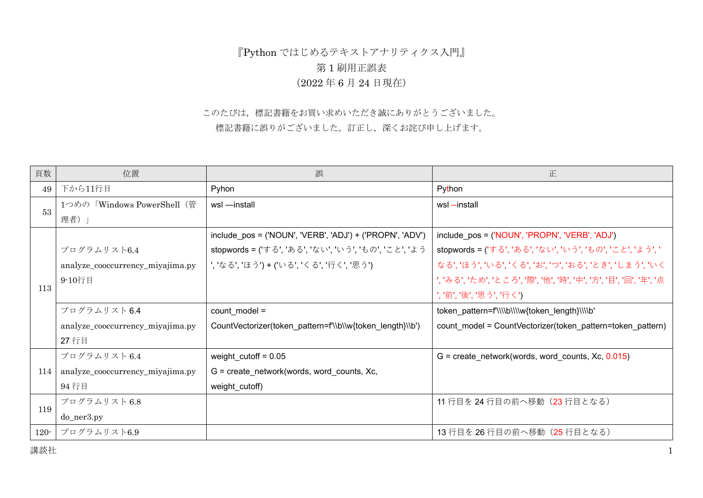## 『Python ではじめるテキストアナリティクス入門』 第 1 刷用正誤表 (2022 年 6 月 24 日現在)

## このたびは,標記書籍をお買い求めいただき誠にありがとうございました。 標記書籍に誤りがございました。訂正し,深くお詫び申し上げます。

| 頁数      | 位置                               | 誤                                                         | 正                                                          |
|---------|----------------------------------|-----------------------------------------------------------|------------------------------------------------------------|
| 49      | 下から11行目                          | Pyhon                                                     | Python                                                     |
| 53      | 1つめの「Windows PowerShell (管       | wsl -install                                              | wsl--install                                               |
|         | 理者)」                             |                                                           |                                                            |
|         |                                  | include_pos = ('NOUN', 'VERB', 'ADJ') + ('PROPN', 'ADV')  | include_pos = ('NOUN', 'PROPN', 'VERB', 'ADJ')             |
|         | プログラムリスト6.4                      | stopwords = ('する', 'ある', 'ない', 'いう', 'もの', 'こと', 'よう      | stopwords = ('する', 'ある', 'ない', 'いう', 'もの', 'こと', 'よう', '   |
|         | analyze_cooccurrency_miyajima.py | ', 'なる', 'ほう') + ('いる', 'くる', '行く', '思う')                 | なる', 'ほう', 'いる', 'くる', 'お', 'つ', 'おる', 'とき', 'しまう', 'いく    |
|         | 9-10行目                           |                                                           | ','みる','ため','ところ','際','他','時','中','方','目','回','年','点       |
| 113     |                                  |                                                           | ','前','後','思う','行く')                                       |
|         | プログラムリスト6.4                      | $count$ model =                                           | token_pattern=f'\\\\b\\\\w{token_length}\\\\b'             |
|         | analyze_cooccurrency_miyajima.py | CountVectorizer(token_pattern=f'\\b\\w{token_length}\\b') | count_model = CountVectorizer(token_pattern=token_pattern) |
|         | 27 行目                            |                                                           |                                                            |
| 114     | プログラムリスト6.4                      | weight_cutoff = $0.05$                                    | $G =$ create network(words, word counts, Xc, 0.015)        |
|         | analyze_cooccurrency_miyajima.py | $G = \text{create\_network}(words, word_counts, Xc,$      |                                                            |
|         | 94 行目                            | weight_cutoff)                                            |                                                            |
| 119     | プログラムリスト 6.8                     |                                                           | 11 行目を 24 行目の前へ移動 (23 行目となる)                               |
|         | do_ner3.py                       |                                                           |                                                            |
| $120 -$ | プログラムリスト6.9                      |                                                           | 13 行目を 26 行目の前へ移動 (25 行目となる)                               |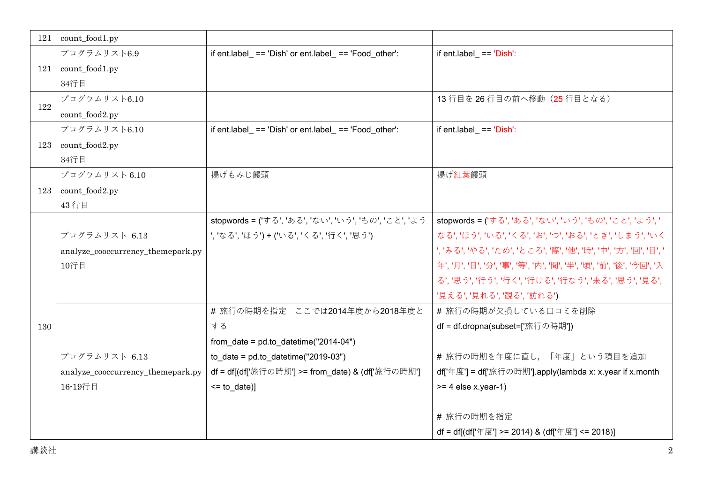| 121 | count_food1.py                    |                                                        |                                                                     |
|-----|-----------------------------------|--------------------------------------------------------|---------------------------------------------------------------------|
| 121 | プログラムリスト6.9                       | if ent.label_ == 'Dish' or ent.label_ == 'Food_other': | if ent.label_ $==$ 'Dish':                                          |
|     | count_food1.py                    |                                                        |                                                                     |
|     | 34行目                              |                                                        |                                                                     |
| 122 | プログラムリスト6.10                      |                                                        | 13 行目を 26 行目の前へ移動 (25 行目となる)                                        |
|     | count_food2.py                    |                                                        |                                                                     |
| 123 | プログラムリスト6.10                      | if ent.label_ == 'Dish' or ent.label_ == 'Food_other': | if ent.label $==$ 'Dish':                                           |
|     | count_food2.py                    |                                                        |                                                                     |
|     | 34行目                              |                                                        |                                                                     |
|     | プログラムリスト6.10                      | 揚げもみじ饅頭                                                | 揚げ紅葉饅頭                                                              |
| 123 | count_food2.py                    |                                                        |                                                                     |
|     | 43行目                              |                                                        |                                                                     |
|     |                                   | stopwords = ('する', 'ある', 'ない', 'いう', 'もの', 'こと', 'よう   | stopwords = ('する', 'ある', 'ない', 'いう', 'もの', 'こと', 'よう', '            |
|     | プログラムリスト 6.13                     | ', 'なる', 'ほう') + ('いる', 'くる', '行く', '思う')              | なる', 'ほう', 'いる', 'くる', 'お', 'つ', 'おる', 'とき', 'しまう', 'いく             |
|     | analyze_cooccurrency_themepark.py |                                                        | ','みる','やる','ため','ところ','際','他','時','中','方','回','目','                |
|     | 10行目                              |                                                        | 年', '月', '日', '分', '事', '等', '内', '間', '半', '頃', '前', '後', '今回', '入 |
|     |                                   |                                                        | る', '思う', '行う', '行く', '行ける', '行なう', '来る', '思う', '見る',               |
| 130 |                                   |                                                        | '見える','見れる','観る','訪れる')                                             |
|     |                                   | # 旅行の時期を指定 ここでは2014年度から2018年度と                         | # 旅行の時期が欠損している口コミを削除                                                |
|     |                                   | する                                                     | df = df.dropna(subset=['旅行の時期'])                                    |
|     |                                   | from_date = $pd.to\_datetime("2014-04")$               |                                                                     |
|     | プログラムリスト 6.13                     | to_date = $pd.to$ datetime("2019-03")                  | # 旅行の時期を年度に直し、「年度」という項目を追加                                          |
|     | analyze_cooccurrency_themepark.py | df = df[(df['旅行の時期'] >= from_date) & (df['旅行の時期']      | df['年度'] = df['旅行の時期'].apply(lambda x: x.year if x.month            |
|     | 16-19行目                           | $<=$ to _date)]                                        | $>= 4$ else x.year-1)                                               |
|     |                                   |                                                        |                                                                     |
|     |                                   |                                                        | #旅行の時期を指定                                                           |
|     |                                   |                                                        | df = df[(df['年度'] >= 2014) & (df['年度'] <= 2018)]                    |